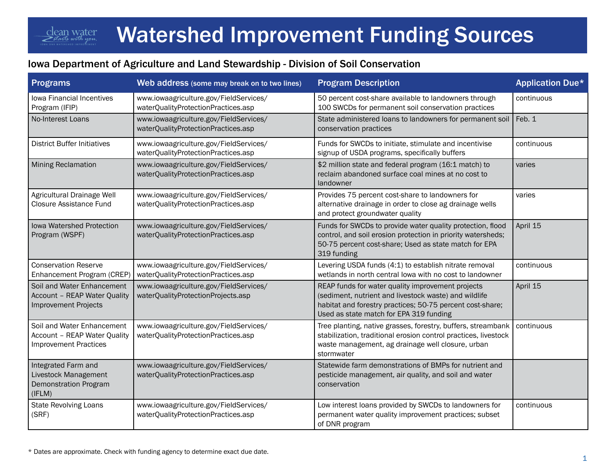#### Watershed Improvement Funding Sources clean water *starts with you.* I O W A D N R W A T E R S H E D I M P R O V E M E N T

### Iowa Department of Agriculture and Land Stewardship - Division of Soil Conservation

| <b>Programs</b>                                                                            | Web address (some may break on to two lines)                                  | <b>Program Description</b>                                                                                                                                                                                         | <b>Application Due*</b> |
|--------------------------------------------------------------------------------------------|-------------------------------------------------------------------------------|--------------------------------------------------------------------------------------------------------------------------------------------------------------------------------------------------------------------|-------------------------|
| Iowa Financial Incentives<br>Program (IFIP)                                                | www.iowaagriculture.gov/FieldServices/<br>waterQualityProtectionPractices.asp | 50 percent cost-share available to landowners through<br>100 SWCDs for permanent soil conservation practices                                                                                                       | continuous              |
| No-Interest Loans                                                                          | www.iowaagriculture.gov/FieldServices/<br>waterQualityProtectionPractices.asp | State administered loans to landowners for permanent soil<br>conservation practices                                                                                                                                | Feb. 1                  |
| <b>District Buffer Initiatives</b>                                                         | www.iowaagriculture.gov/FieldServices/<br>waterQualityProtectionPractices.asp | Funds for SWCDs to initiate, stimulate and incentivise<br>signup of USDA programs, specifically buffers                                                                                                            | continuous              |
| <b>Mining Reclamation</b>                                                                  | www.iowaagriculture.gov/FieldServices/<br>waterQualityProtectionPractices.asp | \$2 million state and federal program (16:1 match) to<br>reclaim abandoned surface coal mines at no cost to<br>landowner                                                                                           | varies                  |
| Agricultural Drainage Well<br><b>Closure Assistance Fund</b>                               | www.iowaagriculture.gov/FieldServices/<br>waterQualityProtectionPractices.asp | Provides 75 percent cost-share to landowners for<br>alternative drainage in order to close ag drainage wells<br>and protect groundwater quality                                                                    | varies                  |
| <b>Iowa Watershed Protection</b><br>Program (WSPF)                                         | www.iowaagriculture.gov/FieldServices/<br>waterQualityProtectionPractices.asp | Funds for SWCDs to provide water quality protection, flood<br>control, and soil erosion protection in priority watersheds;<br>50-75 percent cost-share; Used as state match for EPA<br>319 funding                 | April 15                |
| <b>Conservation Reserve</b><br>Enhancement Program (CREP)                                  | www.iowaagriculture.gov/FieldServices/<br>waterQualityProtectionPractices.asp | Levering USDA funds (4:1) to establish nitrate removal<br>wetlands in north central lowa with no cost to landowner                                                                                                 | continuous              |
| Soil and Water Enhancement<br>Account - REAP Water Quality<br><b>Improvement Projects</b>  | www.iowaagriculture.gov/FieldServices/<br>waterQualityProtectionProjects.asp  | REAP funds for water quality improvement projects<br>(sediment, nutrient and livestock waste) and wildlife<br>habitat and forestry practices; 50-75 percent cost-share;<br>Used as state match for EPA 319 funding | April 15                |
| Soil and Water Enhancement<br>Account - REAP Water Quality<br><b>Improvement Practices</b> | www.iowaagriculture.gov/FieldServices/<br>waterQualityProtectionPractices.asp | Tree planting, native grasses, forestry, buffers, streambank<br>stabilization, traditional erosion control practices, livestock<br>waste management, ag drainage well closure, urban<br>stormwater                 | continuous              |
| Integrated Farm and<br>Livestock Management<br>Demonstration Program<br>(IFLM)             | www.iowaagriculture.gov/FieldServices/<br>waterQualityProtectionPractices.asp | Statewide farm demonstrations of BMPs for nutrient and<br>pesticide management, air quality, and soil and water<br>conservation                                                                                    |                         |
| <b>State Revolving Loans</b><br>(SRF)                                                      | www.iowaagriculture.gov/FieldServices/<br>waterQualityProtectionPractices.asp | Low interest loans provided by SWCDs to landowners for<br>permanent water quality improvement practices; subset<br>of DNR program                                                                                  | continuous              |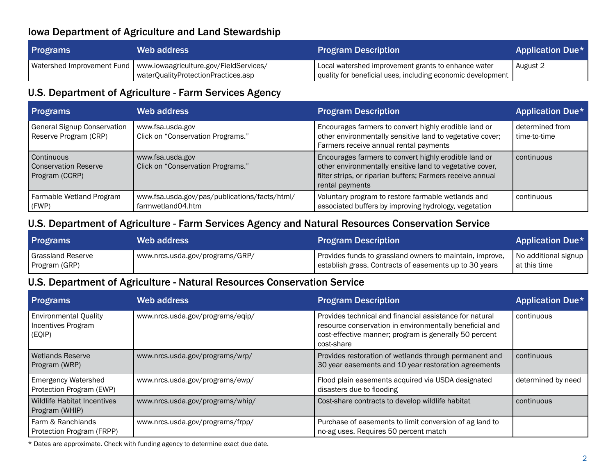# Iowa Department of Agriculture and Land Stewardship

| <b>Programs</b> | Web address                                                                                                  | <b>Program Description</b>                                                                                           | <b>Application Due*</b> |
|-----------------|--------------------------------------------------------------------------------------------------------------|----------------------------------------------------------------------------------------------------------------------|-------------------------|
|                 | Watershed Improvement Fund   www.iowaagriculture.gov/FieldServices/<br>  waterQualityProtectionPractices.asp | Local watershed improvement grants to enhance water<br>  quality for beneficial uses, including economic development | August 2                |

#### U.S. Department of Agriculture - Farm Services Agency

| <b>Programs</b>                                             | <b>Web address</b>                                                 | <b>Program Description</b>                                                                                                                                                                         | <b>Application Due*</b>           |
|-------------------------------------------------------------|--------------------------------------------------------------------|----------------------------------------------------------------------------------------------------------------------------------------------------------------------------------------------------|-----------------------------------|
| <b>General Signup Conservation</b><br>Reserve Program (CRP) | www.fsa.usda.gov<br>Click on "Conservation Programs."              | Encourages farmers to convert highly erodible land or<br>other environmentally sensitive land to vegetative cover;<br>Farmers receive annual rental payments                                       | determined from<br>l time-to-time |
| <b>Continuous</b><br>Conservation Reserve<br>Program (CCRP) | www.fsa.usda.gov<br>Click on "Conservation Programs."              | Encourages farmers to convert highly erodible land or<br>other environmentally ensitive land to vegetative cover,<br>filter strips, or riparian buffers; Farmers receive annual<br>rental payments | continuous                        |
| Farmable Wetland Program<br>(FWP)                           | www.fsa.usda.gov/pas/publications/facts/html/<br>farmwetland04.htm | Voluntary program to restore farmable wetlands and<br>associated buffers by improving hydrology, vegetation                                                                                        | continuous                        |

### U.S. Department of Agriculture - Farm Services Agency and Natural Resources Conservation Service

| <b>Programs</b>   | <b>Web address</b>              | <b>Program Description</b>                               | <b>Application Due*</b> |
|-------------------|---------------------------------|----------------------------------------------------------|-------------------------|
| Grassland Reserve | www.nrcs.usda.gov/programs/GRP/ | Provides funds to grassland owners to maintain, improve, | No additional signup    |
| Program (GRP)     |                                 | establish grass. Contracts of easements up to 30 years   | l at this time          |

### U.S. Department of Agriculture - Natural Resources Conservation Service

| <b>Programs</b>                                              | <b>Web address</b>               | <b>Program Description</b>                                                                                                                                                                 | <b>Application Due*</b> |
|--------------------------------------------------------------|----------------------------------|--------------------------------------------------------------------------------------------------------------------------------------------------------------------------------------------|-------------------------|
| <b>Environmental Quality</b><br>Incentives Program<br>(EQIP) | www.nrcs.usda.gov/programs/eqip/ | Provides technical and financial assistance for natural<br>resource conservation in environmentally beneficial and<br>cost-effective manner; program is generally 50 percent<br>cost-share | continuous              |
| Wetlands Reserve<br>Program (WRP)                            | www.nrcs.usda.gov/programs/wrp/  | Provides restoration of wetlands through permanent and<br>30 year easements and 10 year restoration agreements                                                                             | continuous              |
| <b>Emergency Watershed</b><br>Protection Program (EWP)       | www.nrcs.usda.gov/programs/ewp/  | Flood plain easements acquired via USDA designated<br>disasters due to flooding                                                                                                            | determined by need      |
| Wildlife Habitat Incentives<br>Program (WHIP)                | www.nrcs.usda.gov/programs/whip/ | Cost-share contracts to develop wildlife habitat                                                                                                                                           | continuous              |
| Farm & Ranchlands<br>Protection Program (FRPP)               | www.nrcs.usda.gov/programs/frpp/ | Purchase of easements to limit conversion of ag land to<br>no-ag uses. Requires 50 percent match                                                                                           |                         |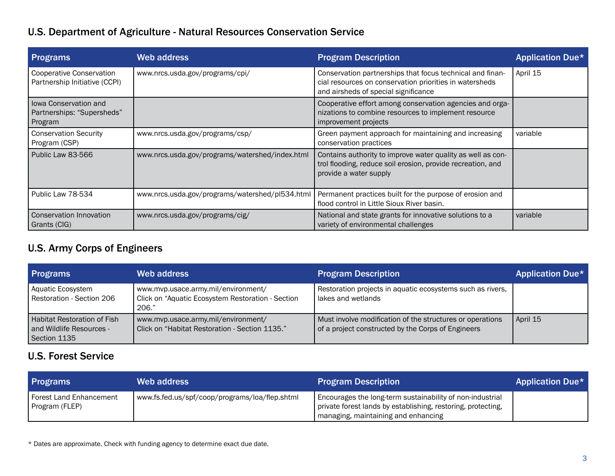# U.S. Department of Agriculture - Natural Resources Conservation Service

| <b>Programs</b>                                                       | <b>Web address</b>                              | <b>Program Description</b>                                                                                                                                   | <b>Application Due*</b> |
|-----------------------------------------------------------------------|-------------------------------------------------|--------------------------------------------------------------------------------------------------------------------------------------------------------------|-------------------------|
| <b>Cooperative Conservation</b><br>Partnership Initiative (CCPI)      | www.nrcs.usda.gov/programs/cpi/                 | Conservation partnerships that focus technical and finan-<br>cial resources on conservation priorities in watersheds<br>and airsheds of special significance | April 15                |
| <b>Iowa Conservation and</b><br>Partnerships: "Supersheds"<br>Program |                                                 | Cooperative effort among conservation agencies and orga-<br>nizations to combine resources to implement resource<br>improvement projects                     |                         |
| <b>Conservation Security</b><br>Program (CSP)                         | www.nrcs.usda.gov/programs/csp/                 | Green payment approach for maintaining and increasing<br>conservation practices                                                                              | variable                |
| Public Law 83-566                                                     | www.nrcs.usda.gov/programs/watershed/index.html | Contains authority to improve water quality as well as con-<br>trol flooding, reduce soil erosion, provide recreation, and<br>provide a water supply         |                         |
| Public Law 78-534                                                     | www.nrcs.usda.gov/programs/watershed/pl534.html | Permanent practices built for the purpose of erosion and<br>flood control in Little Sioux River basin.                                                       |                         |
| Conservation Innovation<br>Grants (CIG)                               | www.nrcs.usda.gov/programs/cig/                 | National and state grants for innovative solutions to a<br>variety of environmental challenges                                                               | variable                |

# U.S. Army Corps of Engineers

| <b>Programs</b>                                                                | Web address                                                                                       | <b>Program Description</b>                                                                                      | <b>Application Due*</b> |
|--------------------------------------------------------------------------------|---------------------------------------------------------------------------------------------------|-----------------------------------------------------------------------------------------------------------------|-------------------------|
| Aquatic Ecosystem<br>Restoration - Section 206                                 | www.mvp.usace.army.mil/environment/<br>Click on "Aquatic Ecosystem Restoration - Section<br>206." | Restoration projects in aquatic ecosystems such as rivers,<br>lakes and wetlands                                |                         |
| <b>Habitat Restoration of Fish</b><br>and Wildlife Resources -<br>Section 1135 | www.mvp.usace.army.mil/environment/<br>Click on "Habitat Restoration - Section 1135."             | Must involve modification of the structures or operations<br>of a project constructed by the Corps of Engineers | April 15                |

## U.S. Forest Service

| <b>Programs</b>                           | Web address                                    | <b>Program Description</b>                                                                                                                                       | <b>Application Due*</b> |
|-------------------------------------------|------------------------------------------------|------------------------------------------------------------------------------------------------------------------------------------------------------------------|-------------------------|
| Forest Land Enhancement<br>Program (FLEP) | www.fs.fed.us/spf/coop/programs/loa/flep.shtml | Encourages the long-term sustainability of non-industrial<br>private forest lands by establishing, restoring, protecting,<br>managing, maintaining and enhancing |                         |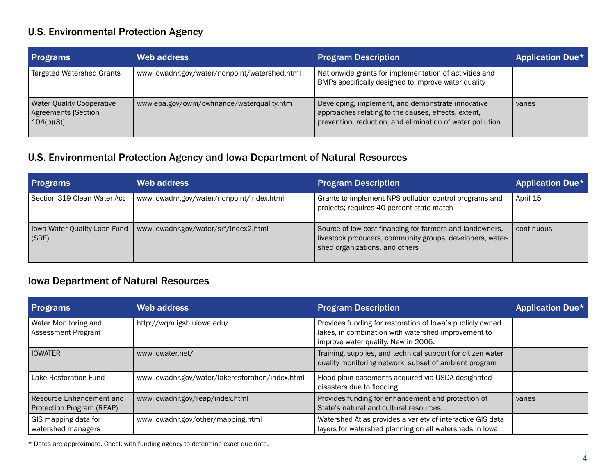# U.S. Environmental Protection Agency

| <b>Programs</b>                                                      | Web address                                   | <b>Program Description</b>                                                                                                                                            | <b>Application Due*</b> |
|----------------------------------------------------------------------|-----------------------------------------------|-----------------------------------------------------------------------------------------------------------------------------------------------------------------------|-------------------------|
| <b>Targeted Watershed Grants</b>                                     | www.iowadnr.gov/water/nonpoint/watershed.html | Nationwide grants for implementation of activities and<br>BMPs specifically designed to improve water quality                                                         |                         |
| <b>Water Quality Cooperative</b><br>Agreements [Section<br>104(b)(3) | www.epa.gov/owm/cwfinance/waterquality.htm    | Developing, implement, and demonstrate innovative<br>approaches relating to the causes, effects, extent,<br>prevention, reduction, and elimination of water pollution | varies                  |

# U.S. Environmental Protection Agency and Iowa Department of Natural Resources

| <b>Programs</b>                       | <b>Web address</b>                        | <b>Program Description</b>                                                                                                                              | <b>Application Due*</b> |
|---------------------------------------|-------------------------------------------|---------------------------------------------------------------------------------------------------------------------------------------------------------|-------------------------|
| Section 319 Clean Water Act           | www.iowadnr.gov/water/nonpoint/index.html | Grants to implement NPS pollution control programs and<br>projects; requires 40 percent state match                                                     | April 15                |
| lowa Water Quality Loan Fund<br>(SRF) | www.iowadnr.gov/water/srf/index2.html     | Source of low-cost financing for farmers and landowners,<br>livestock producers, community groups, developers, water-<br>shed organizations, and others | I continuous            |

# Iowa Department of Natural Resources

| <b>Programs</b>                                       | Web address                                      | <b>Program Description</b>                                                                                                                              | <b>Application Due*</b> |
|-------------------------------------------------------|--------------------------------------------------|---------------------------------------------------------------------------------------------------------------------------------------------------------|-------------------------|
| Water Monitoring and<br>Assessment Program            | http://wqm.igsb.uiowa.edu/                       | Provides funding for restoration of Iowa's publicly owned<br>lakes, in combination with watershed improvement to<br>improve water quality. New in 2006. |                         |
| <b>IOWATER</b>                                        | www.iowater.net/                                 | Training, supplies, and technical support for citizen water<br>quality monitoring network; subset of ambient program                                    |                         |
| Lake Restoration Fund                                 | www.iowadnr.gov/water/lakerestoration/index.html | Flood plain easements acquired via USDA designated<br>disasters due to flooding                                                                         |                         |
| Resource Enhancement and<br>Protection Program (REAP) | www.iowadnr.gov/reap/index.html                  | Provides funding for enhancement and protection of<br>State's natural and cultural resources                                                            | varies                  |
| GIS mapping data for<br>watershed managers            | www.iowadnr.gov/other/mapping.html               | Watershed Atlas provides a variety of interactive GIS data<br>layers for watershed planning on all watersheds in lowa                                   |                         |